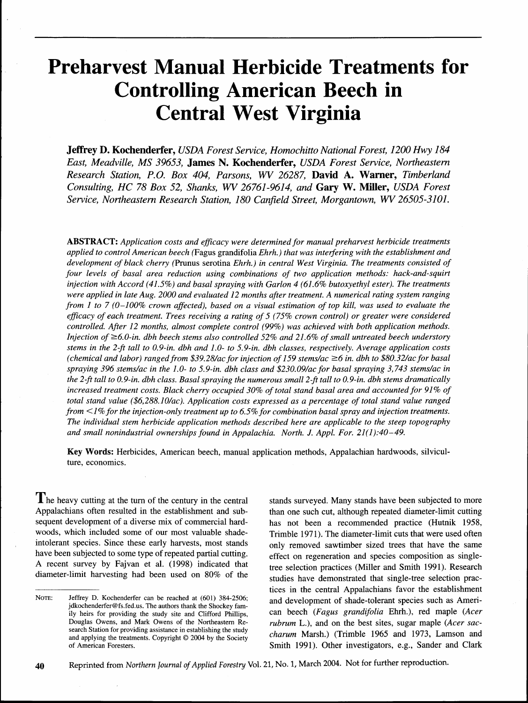# **Preharvest Manual Herbicide Treatments for Controlling American Beech in Central West Virginia**

**Jeffrey D. Kochenderfer,** *USDA Forest Service, Homochitto National Forest, 1200 Hwy 184 East, Meadville, MS 39653,* **James** *N.* **Kochenderfer,** *USDA Forest Service, Northeastern Research Station, P.O. Box 404, Parsons, WV 26287,* **David** *A.* **Warner,** *Timberland Consulting, HC 78 Box 52, Shanks, WV 26761-9614, and* **Gary W. Miller,** *USDA Forest*  Service, Northeastern Research Station, 180 Canfield Street, Morgantown, WV 26505-3101.

**ABSTRACT:** *Application costs and eficacy were determined for manual prehawest herbicide treatments applied to control American beech* (Fagus grandifolia *Ehrh.) that was interfering with the establishment and development of black cherry* (Prunus serotina *Ehrh.) in central West Virginia. The treatments consisted of four levels of basal area reduction using combinations of* **two** *application methods: hack-and-squirt injection with Accord (41.5%) and basal spraying with Garlon 4 (61.6% butoxyethyl ester). The treatments were applied in late Aug. 2000 and evaluated 12 months after treatment. A numerical rating system ranging from 1 to 7 (0-100% crown afected), based on a visual estimation of top kill, was used to evaluate the eficacy of each treatment. Trees receiving a rating of 5 (75% crown control) or greater were considered controlled. After 12 months, almost complete control (99%) was achieved with both application methods. Injection of* ≥6.0-in. dbh beech stems also controlled 52% and 21.6% of small untreated beech understory *stems in the 2-ft tall to 0.9-in. dbh and 1.0- to 5.9-in. dbh classes, respectively. Average application costs (chemical and labor) ranged from \$39.28/ac for injection of 159 stems/ac 26 in. dbh to \$80.32/ac for basal spraying 396 stems/ac in the 1.0- to 5.9-in. dbh class and \$230.09/ac for basal spraying 3,743 stems/ac in the 2-ft tall to 0.9-in. dbh class. Basal spraying the numerous small 2-ft tall to 0.9-in. dbh stems dramatically increased treatment costs. Black cherry occupied 30% of total stand basal area and accounted for 91% of total stand value (\$6,288.10/ac). Application costs expressed as a percentage of total stand value ranged from <I* % *for the injection-only treatment up to 6.5% for combination basal spray and injection treatments. The individual stem herbicide application methods described here are applicable to the steep topography and small nonindustrial ownerships found in Appalachia. North. J. Appl. For. 21(1):40-49.* 

**Key Words:** Herbicides, American beech, manual application methods, Appalachian hardwoods, silviculture, economics.

 $\prod$  he heavy cutting at the turn of the century in the central Appalachians often resulted in the establishment and subsequent development of a diverse mix of commercial hardwoods, which included some of our most valuable shadeintolerant species. Since these early harvests, most stands have been subjected to some type of repeated partial cutting. A recent survey by Fajvan et al. (1998) indicated that diameter-limit harvesting had been used on 80% of the

stands surveyed. Many stands have been subjected to more than one such cut, although repeated diameter-limit cutting has not been a recommended practice (Hutnik 1958, Trimble 1971). The diameter-limit cuts that were used often only removed sawtimber sized trees that have the same effect on regeneration and species composition as singletree selection practices (Miller and Smith 1991). Research studies have demonstrated that single-tree selection practices in the central Appalachians favor the establishment and development of shade-tolerant species such as American beech *(Fagus grandifolia* Ehrh.), red maple *(Acer rubrum* L.), and on the best sites, sugar maple *(Acer saccharum* Marsh.) (Trimble 1965 and 1973, Lamson and Smith 1991). Other investigators, e.g., Sander and Clark

40 Reprinted from *Northern Journal of Applied Forestry Vol.* 21, No. 1, March 2004. Not for further reproduction.

NOTE: Jeffrey D. Kochenderfer can be reached at *(601) 384-2506;*  jdkochenderfer@fs.fed.us. The authors thank the Shockey family heirs for providing the study site and Clifford Phillips, Douglas Owens, and Mark Owens of the Northeastern Research Station for providing assistance in establishing the study and applying the treatments. Copyright  $\odot$  2004 by the Society of American Foresters.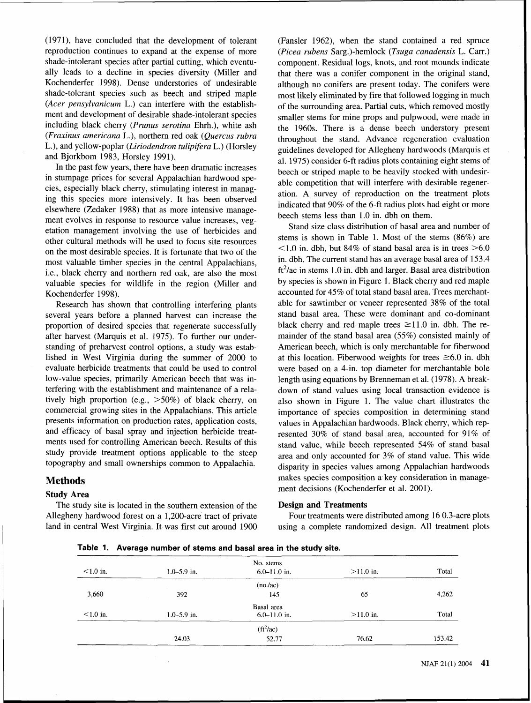(1971), have concluded that the development of tolerant (Fansler 1962), when the stand contained a red spruce reproduction continues to expand at the expense of more (Picea rubens Sarg.)-hemlock (Tsuga canadensis L. Carr.) shade-intolerant species after partial cutting, which eventu-<br>ally leads to a decline in species diversity (Miller and that there was a conifer component in the original stand. ally leads to a decline in species diversity (Miller and that there was a conifer component in the original stand, Kochenderfer 1998). Dense understories of undesirable although no conifers are present today. The conifers Kochenderfer 1998). Dense understories of undesirable although no conifers are present today. The conifers were<br>shade-tolerant species such as beech and striped maple most likely eliminated by fire that followed logging in shade-tolerant species such as beech and striped maple most likely eliminated by fire that followed logging in much (*Acer pensylvanicum* L.) can interfere with the establish-<br>of the surrounding area Partial cuts, which re (*Acer pensylvanicum* L.) can interfere with the establish-<br>ment and development of desirable shade-intolerant species smaller stems for mine props and pulpwood, were made in<br>including black cherry (*Prunus serotina* Ehrh including black cherry *(Prunus serotina Ehrh.)*, white ash the 1960s. There is a dense beech understory present (*Fraxinus americana L.*), northern red oak (Quercus rubra throughout the stand. Advance regeneration evalua L.), and yellow-poplar (Liriodendron tulipitera L.) (Horsley guidelines developed for Allegheny hardwoods (Marquis et and Bjorkbom 1983, Horsley 1991).

In the past few years, there have been dramatic increases beech or striped maple to be heavily stocked with undesir-<br>in stumpage prices for several Appalachian hardwood spein stumpage prices for several Apparachian naruwood spe-<br>cies, especially black cherry, stimulating interest in managthis species more intensively. It has been observed<br>elsewhere (Zedaker 1988) that as more intensive manage-<br>ment evolves in response to resource value increases, veg-<br>attion management intensive intensive management evolve etation management involving the use of herbicides and Stand size class distribution of basal area and number of the stems (86%) are<br>other outlined methods will be used to focus site resources other cultural methods will be used to focus site resources stems is shown in Table 1. Most of the stems (86%) are<br>on the most desirable enough It is fortunate that two of the  $\leq 1.0$  in. dbh, but 84% of stand basal are on the most desirable species. It is fortunate that two of the  $\frac{1.0 \text{ m}}{\text{m}}$ , dbh, The current stand has an average basal area of 153.4 most valuable timber species in the central Appalachians, in. dbh. The current stand has an average basal area of 153.4<br>i.e. black cherry and porthern red onk, are also the most  $\frac{f t^2}{\alpha}$  in stems 1.0 in. dbh and larg i.e., black cherry and northern red oak, are also the most<br>valuable species for wildlife in the region (Miller and by species is shown in Figure 1. Black cherry and red maple valuable species for wildlife in the region (Miller and

several years before a planned harvest can increase the stand basal area. These were dominant and co-dominant proportion of desired species that regenerate successfully black cherry and red maple trees  $\geq 11.0$  in. dbh. proportion of desired species that regenerate successfully black cherry and red maple trees  $\geq$ 11.0 in. dbh. The re-<br>after harvest (Marquis et al. 1975). To further our under- mainder of the stand basal area (55%) consi after harvest (Marquis et al. 1975). To further our understanding of preharvest control options, a study was estab- American beech, which is only merchantable for fiberwood lished in West Virginia during the summer of 2000 to at this location. Fiberwood weights for trees  $\geq 6.0$  in. dbh evaluate herbicide treatments that could be used to control were based on a 4-in. top diameter for merchantable bole low-value species, primarily American beech that was in-<br>length using equations by Brenneman et al. (1978). A breakterfering with the establishment and maintenance of a rela- down of stand values using local transaction evidence is tively high proportion (e.g., >50%) of black cherry, on also shown in Figure 1. The value chart illustrates the commercial growing sites in the Appalachians. This article importance of species composition in determining st commercial growing sites in the Appalachians. This article importance of species composition in determining stand<br>presents information on production rates, application costs, values in Appalachian hardwoods. Black cherry, presents information on production rates, application costs, values in Appalachian hardwoods. Black cherry, which rep-<br>and efficacy of basal spray and injection herbicide treat-<br>resented 30% of stand hasal area accounted f ments used for controlling American beech. Results of this stand value, while beech represented 54% of stand basal<br>study provide treatment options applicable to the steep<br>area and only accounted for 3% of stand value. This study provide treatment options applicable to the steep area and only accounted for 3% of stand value. This wide<br>topography and small ownerships common to Appalachia.<br>disparity in species values among Appalachian bardwoods

The study site is located in the southern extension of the **Design and Treatments**  Allegheny hardwood forest on a 1,200-acre tract of private Four treatments were distributed among 16 0.3-acre plots land in central West Virginia. It was first cut around 1900 using a complete randomized design. All treatment plots

and Bjorkbom 1983, Horsley 1991).<br>
al. 1975) consider 6-ft radius plots containing eight stems of<br>
In the past few years, there have been dramatic increases

Kochenderfer 1998).<br>Research has shown that controlling interfering plants able for sawtimber or veneer represented 38% of the total Research has shown that controlling interfering plants able for sawtimber or veneer represented 38% of the total<br>veral vears before a planned harvest can increase the stand basal area. These were dominant and co-dominant resented 30% of stand basal area, accounted for 91% of disparity in species values among Appalachian hardwoods **Methods** makes species composition a key consideration in management decisions (Kochenderfer et al. 2001). **Study Area** 

| Table 1. Average number of stems and basal area in the study site. |
|--------------------------------------------------------------------|
|--------------------------------------------------------------------|

| $< 1.0$ in. | $1.0 - 5.9$ in. | No. stems<br>$6.0 - 11.0$ in. | $>11.0$ in. | Total  |
|-------------|-----------------|-------------------------------|-------------|--------|
|             |                 | (no/ac)                       |             |        |
| 3,660       | 392             | 145                           | 65          | 4,262  |
|             |                 | Basal area                    |             |        |
| $< 1.0$ in. | $1.0 - 5.9$ in. | $6.0 - 11.0$ in.              | $>11.0$ in. | Total  |
|             |                 | $(ft^2/ac)$                   |             |        |
|             | 24.03           | 52.77                         | 76.62       | 153.42 |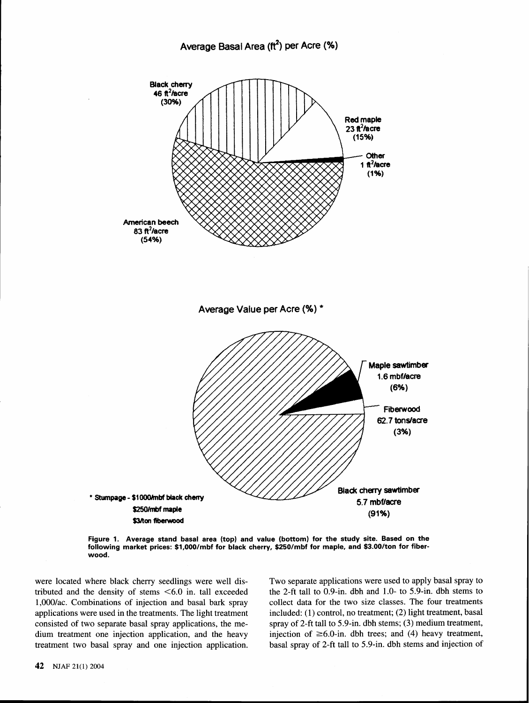

**Figure 1. Average stand basal area (top) and value (bottom) for the study site. Based on the following market prices: \$1,00O/mbf for black cherry, \$250/mbf for maple, and \$3.00/ton for fiberwood.** 

were located where black cherry seedlings were well dis-<br>tributed and the density of stems <6.0 in. tall exceeded the 2-ft tall to 0.9-in. dbh and 1.0- to 5.9-in. dbh stems to tributed and the density of stems  $\leq 6.0$  in. tall exceeded treatment two basal spray and one injection application. basal spray of 2-ft tall to 5.9-in. dbh stems and injection of

1,000/ac. Combinations of injection and basal bark spray collect data for the two size classes. The four treatments applications were used in the treatments. The light treatment included: (1) control, no treatment; (2) light treatment, basal consisted of two separate basal spray applications, the me- spray of 2-ft tall to 5.9-in. dbh stems; **(3)** medium treatment, dium treatment one injection application, and the heavy injection of  $\geq 6.0$ -in. dbh trees; and (4) heavy treatment,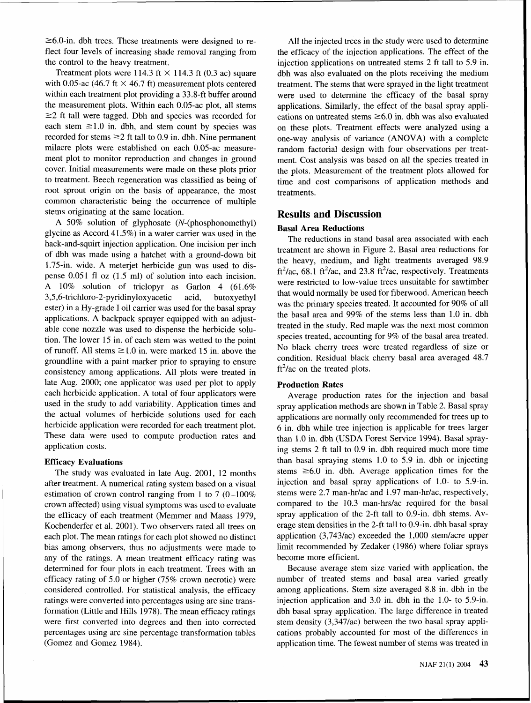$\geq 6.0$ -in. dbh trees. These treatments were designed to reflect four levels of increasing shade removal ranging from the control to the heavy treatment.

Treatment plots were 114.3 ft  $\times$  114.3 ft (0.3 ac) square with 0.05-ac (46.7 ft  $\times$  46.7 ft) measurement plots centered within each treatment plot providing a 33.8-ft buffer around the measurement plots. Within each 0.05-ac plot, all stems  $\geq$  2 ft tall were tagged. Dbh and species was recorded for each stem  $\geq 1.0$  in. dbh, and stem count by species was recorded for stems  $\geq 2$  ft tall to 0.9 in. dbh. Nine permanent milacre plots were established on each 0.05-ac measurement plot to monitor reproduction and changes in ground cover. Initial measurements were made on these plots prior to treatment. Beech regeneration was classified as being of root sprout origin on the basis of appearance, the most common characteristic being the occurrence of multiple stems originating at the same location.

A 50% solution of glyphosate (N-(phosphonomethyl) glycine as Accord 41.5%) in a water carrier was used in the hack-and-squirt injection application. One incision per inch of dbh was made using a hatchet with a ground-down bit 1.75-in. wide. A meterjet herbicide gun was used to dispense 0.051 fl oz (1.5 ml) of solution into each incision. A 10% solution of triclopyr as Garlon 4 (61.6% **3,5,6-trichloro-2-pyridinyloxyacetic** acid, butoxyethyl ester) in a Hy-grade I oil carrier was used for the basal spray applications. A backpack sprayer equipped with an adjustable cone nozzle was used to dispense the herbicide solution. The lower 15 in. of each stem was wetted to the point of runoff. All stems  $\geq 1.0$  in. were marked 15 in. above the groundline with a paint marker prior to spraying to ensure consistency among applications. All plots were treated in late Aug. 2000; one applicator was used per plot to apply each herbicide application. A total of four applicators were used in the study to add variability. Application times and the actual volumes of herbicide solutions used for each herbicide application were recorded for each treatment plot. These data were used to compute production rates and application costs.

## **Efficacy Evaluations**

The study was evaluated in late Aug. 2001, 12 months after treatment. A numerical rating system based on a visual estimation of crown control ranging from 1 to 7 (0-100% crown affected) using visual symptoms was used to evaluate the efficacy of each treatment (Memmer and Maass 1979, Kochenderfer et al. 2001). Two observers rated all trees on each plot. The mean ratings for each plot showed no distinct bias among observers, thus no adjustments were made to any of the ratings. A mean treatment efficacy rating was determined for four plots in each treatment. Trees with an efficacy rating of 5.0 or higher (75% crown necrotic) were considered controlled. For statistical analysis, the efficacy ratings were converted into percentages using arc sine transformation (Little and Hills 1978). The mean efficacy ratings were first converted into degrees and then into corrected percentages using arc sine percentage transformation tables (Gomez and Gomez 1984).

All the injected trees in the study were used to determine the efficacy of the injection applications. The effect of the injection applications on untreated stems 2 ft tall to 5.9 in. dbh was also evaluated on the plots receiving the medium treatment. The stems that were sprayed in the light treatment were used to determine the efficacy of the basal spray applications. Similarly, the effect of the basal spray applications on untreated stems  $\geq 6.0$  in. dbh was also evaluated on these plots. Treatment effects were analyzed using a one-way analysis of variance (ANOVA) with a complete random factorial design with four observations per treatment. Cost analysis was based on all the species treated in the plots. Measurement of the treatment plots allowed for time and cost comparisons of application methods and treatments.

# **Results and Discussion**

## **Basal Area Reductions**

The reductions in stand basal area associated with each treatment are shown in Figure 2. Basal area reductions for the heavy, medium, and light treatments averaged 98.9 ft<sup>2</sup>/ac, 68.1 ft<sup>2</sup>/ac, and 23.8 ft<sup>2</sup>/ac, respectively. Treatments were restricted to low-value trees unsuitable for sawtimber that would normally be used for fiberwood. American beech was the primary species treated. It accounted for 90% of all the basal area and 99% of the stems less than 1.0 in. dbh treated in the study. Red maple was the next most common species treated, accounting for 9% of the basal area treated. No black cherry trees were treated regardless of size or condition. Residual black cherry basal area averaged 48.7  $ft<sup>2</sup>/ac$  on the treated plots.

# **Production Rates**

Average production rates for the injection and basal spray application methods are shown in Table 2. Basal spray applications are normally only recommended for trees up to 6 in. dbh while tree injection is applicable for trees larger than 1.0 in. dbh (USDA Forest Service 1994). Basal spraying stems 2 ft tall to 0.9 in. dbh required much more time than basal spraying stems 1.0 to 5.9 in. dbh or injecting stems  $\geq 6.0$  in. dbh. Average application times for the injection and basal spray applications of 1.0- to 5.9-in. stems were 2.7 man-hr/ac and 1.97 man-hr/ac, respectively, compared to the 10.3 man-hrs/ac required for the basal spray application of the 2-ft tall to 0.9-in. dbh stems. Average stem densities in the 2-ft tall to 0.9-in. dbh basal spray application  $(3,743/ac)$  exceeded the 1,000 stem/acre upper limit recommended by Zedaker (1986) where foliar sprays become more efficient.

Because average stem size varied with application, the number of treated stems and basal area varied greatly among applications. Stem size averaged 8.8 in. dbh in the injection application and 3.0 in. dbh in the 1.0- to 5.9-in. dbh basal spray application. The large difference in treated stem density (3,347lac) between the two basal spray applications probably accounted for most of the differences in application time. The fewest number of stems was treated in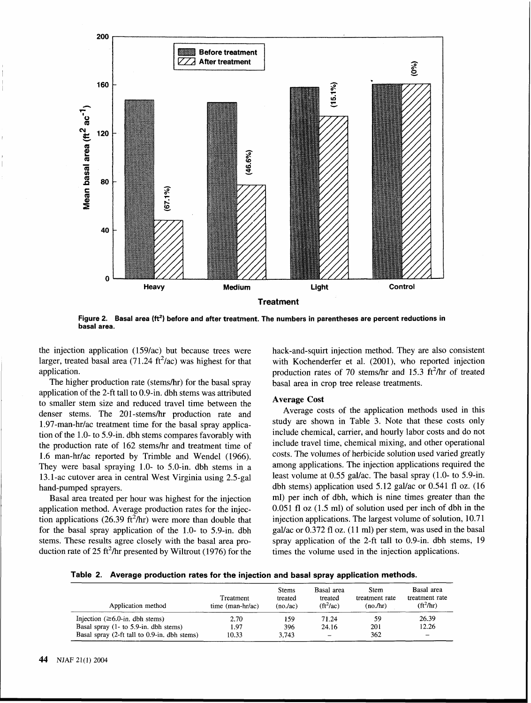

Figure 2. Basal area (ft<sup>2</sup>) before and after treatment. The numbers in parentheses are percent reductions in **basal area.** 

the injection application (159/ac) but because trees were larger, treated basal area (71.24 ft<sup>2</sup>/ac) was highest for that application.

The higher production rate (stems/hr) for the basal spray application of the 2-ft tall to 0.9-in. dbh stems was attributed to smaller stem size and reduced travel time between the denser stems. The 201-stems/hr production rate and 1.97-man-hrlac treatment time for the basal spray application of the 1.0- to 5.9-in. dbh stems compares favorably with the production rate of 162 stems/hr and treatment time of 1.6 man-hr/ac reported by Trimble and Wendel (1966). They were basal spraying 1.0- to 5.0-in. dbh stems in a 13.1-ac cutover area in central West Virginia using 2.5-gal hand-pumped sprayers.

Basal area treated per hour was highest for the injection application method. Average production rates for the injection applications (26.39 ft<sup>2</sup>/hr) were more than double that for the basal spray application of the 1.0- to 5.9-in. dbh stems. These results agree closely with the basal area production rate of 25 ft<sup>2</sup>/hr presented by Wiltrout (1976) for the

hack-and-squirt injection method. They are also consistent with Kochenderfer et al. (2001), who reported injection production rates of 70 stems/hr and 15.3  $\text{ft}^2$ /hr of treated basal area in crop tree release treatments.

### **Average Cost**

Average costs of the application methods used in this study are shown in Table 3. Note that these costs only include chemical, carrier, and hourly labor costs and do not include travel time, chemical mixing, and other operational costs. The volumes of herbicide solution used varied greatly among applications. The injection applications required the least volume at 0.55 gal/ac. The basal spray (1.0- to 5.9-in. dbh stems) application used  $5.12$  gal/ac or 0.541 fl oz. (16 ml) per inch of dbh, which is nine times greater than the 0.051 fl oz (1.5 ml) of solution used per inch of dbh in the injection applications. The largest volume of solution, 10.71 gal/ac or  $0.372$  fl oz.  $(11 \text{ ml})$  per stem, was used in the basal spray application of the 2-ft tall to 0.9-in. dbh stems, 19 times the volume used in the injection applications.

**Table 2. Average production rates for the injection and basal spray application methods.** 

| Application method                                     | Treatment<br>time $(man-hr/ac)$ | <b>Stems</b><br>treated<br>(no/ac) | Basal area<br>treated<br>$(ft^2/ac)$ | Stem<br>treatment rate<br>(no/hr) | Basal area<br>treatment rate<br>$(f t^2 / h r)$ |
|--------------------------------------------------------|---------------------------------|------------------------------------|--------------------------------------|-----------------------------------|-------------------------------------------------|
| Injection $(\geq 6.0 \text{-- in.} \text{ dbh stems})$ | 2.70                            | 159                                | 71.24                                | 59                                | 26.39                                           |
| Basal spray (1- to 5.9-in. dbh stems)                  | 1.97                            | 396                                | 24.16                                | 201                               | 12.26                                           |
| Basal spray (2-ft tall to 0.9-in. dbh stems)           | 10.33                           | 3,743                              |                                      | 362                               | $\overline{\phantom{m}}$                        |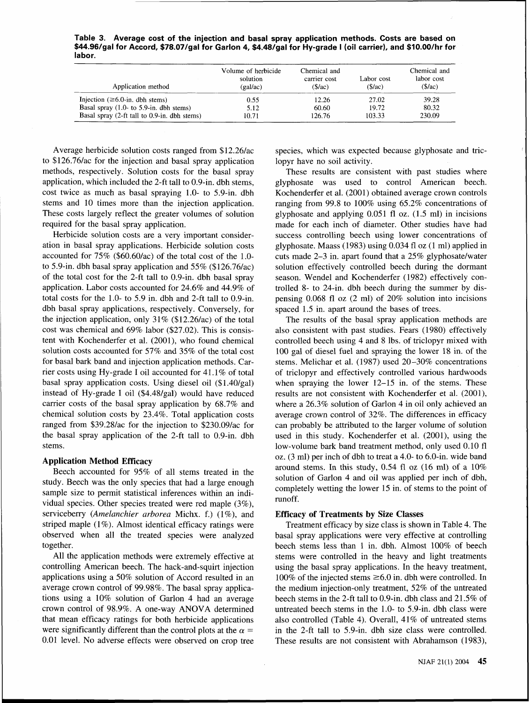**Table 3. Average cost of the injection and basal spray application methods. Costs are based on \$44.96/gal for Accord, \$78.07/gal for Garlon 4, \$4.48/gal for Hy-grade I (oil carrier), and \$10.00/hr for labor.** 

| Application method                           | Volume of herbicide<br>solution<br>(gal/ac) | Chemical and<br>carrier cost<br>\$/ac) | Labor cost<br>(S/ac) | Chemical and<br>labor cost<br>(S/ac) |
|----------------------------------------------|---------------------------------------------|----------------------------------------|----------------------|--------------------------------------|
| Injection ( $\geq 6.0$ -in. dbh stems)       | 0.55                                        | 12.26                                  | 27.02                | 39.28                                |
| Basal spray $(1.0 -$ to 5.9-in. dbh stems)   | 5.12                                        | 60.60                                  | 19.72                | 80.32                                |
| Basal spray (2-ft tall to 0.9-in. dbh stems) | 10.71                                       | 126.76                                 | 103.33               | 230.09                               |

Average herbicide solution costs ranged from \$12.26/ac to \$126.76/ac for the injection and basal spray application methods, respectively. Solution costs for the basal spray application, which included the 2-ft tall to 0.9-in. dbh stems, cost twice as much as basal spraying 1.0- to 5.9-in. dbh stems and 10 times more than the injection application. These costs largely reflect the greater volumes of solution required for the basal spray application.

Herbicide solution costs are a very important consideration in basal spray applications. Herbicide solution costs accounted for 75% (\$60.60/ac) of the total cost of the 1.0 to 5.9-in. dbh basal spray application and 55% (\$126.76/ac) of the total cost for the 2-ft tall to 0.9-in. dbh basal spray application. Labor costs accounted for 24.6% and 44.9% of total costs for the 1.0- to 5.9 in. dbh and 2-ft tall to 0.9-in. dbh basal spray applications, respectively. Conversely, for the injection application, only  $31\%$  (\$12.26/ac) of the total cost was chemical and 69% labor (\$27.02). This is consistent with Kochenderfer et al. (2001), who found chemical solution costs accounted for 57% and 35% of the total cost for basal bark band and injection application methods. Carrier costs using Hy-grade I oil accounted for 41.1% of total basal spray application costs. Using diesel oil (\$1.40/gal) instead of Hy-grade I oil (\$4.48/gal) would have reduced carrier costs of the basal spray application by 68.7% and chemical solution costs by 23.4%. Total application costs ranged from \$39.28/ac for the injection to \$230.09/ac for the basal spray application of the 2-ft tall to 0.9-in. dbh stems.

### **Application Method Efficacy**

Beech accounted for 95% of all stems treated in the study. Beech was the only species that had a large enough sample size to permit statistical inferences within an individual species. Other species treated were red maple (3%), serviceberry (Amelanchier arborea Michx. f.) (I%), and striped maple (1%). Almost identical efficacy ratings were observed when all the treated species were analyzed together.

All the application methods were extremely effective at controlling American beech. The hack-and-squirt injection applications using a 50% solution of Accord resulted in an average crown control of 99.98%. The basal spray applications using a 10% solution of Garlon 4 had an average crown control of 98.9%. A one-way ANOVA determined that mean efficacy ratings for both herbicide applications were significantly different than the control plots at the  $\alpha =$ 0.01 level. No adverse effects were observed on crop tree

species, which was expected because glyphosate and triclopyr have no soil activity.

These results are consistent with past studies where glyphosate was used to control American beech. Kochenderfer et al. (2001) obtained average crown controls ranging from 99.8 to 100% using 65.2% concentrations of glyphosate and applying 0.051 fl oz. (1.5 ml) in incisions made for each inch of diameter. Other studies have had success controlling beech using lower concentrations of glyphosate. Maass (1983) using 0.034 fl oz (1 ml) applied in cuts made  $2-3$  in. apart found that a  $25\%$  glyphosate/water solution effectively controlled beech during the dormant season. Wendel and Kochenderfer (1982) effectively controlled 8- to 24-in. dbh beech during the summer by dispensing 0.068 fl oz (2 ml) of 20% solution into incisions spaced 1.5 in. apart around the bases of trees.

The results of the basal spray application methods are also consistent with past studies. Fears (1980) effectively controlled beech using 4 and 8 lbs. of triclopyr mixed with 100 gal of diesel fuel and spraying the lower 18 in. of the stems. Melichar et al. (1987) used 20-30% concentrations of triclopyr and effectively controlled various hardwoods when spraying the lower 12-15 in. of the stems. These results are not consistent with Kochenderfer et al. (2001), where a 26.3% solution of Garlon 4 in oil only achieved an average crown control of 32%. The differences in efficacy can probably be attributed to the larger volume of solution used in this study. Kochenderfer et al. (2001), using the low-volume bark band treatment method, only used 0.10 fl oz. (3 ml) per inch of dbh to treat a 4.0- to 6.0-in. wide band around stems. In this study, 0.54 fl oz (16 ml) of a 10% solution of Garlon 4 and oil was applied per inch of dbh, completely wetting the lower 15 in. of stems to the point of runoff.

### **Efficacy of Treatments by Size Classes**

Treatment efficacy by size class is shown in Table 4. The basal spray applications were very effective at controlling beech stems less than 1 in. dbh. Almost 100% of beech stems were controlled in the heavy and light treatments using the basal spray applications. In the heavy treatment, 100% of the injected stems  $\geq 6.0$  in. dbh were controlled. In the medium injection-only treatment, 52% of the untreated beech stems in the 2-ft tall to 0.9-in. dbh class and 21.5% of untreated beech stems in the 1.0- to 5.9-in. dbh class were also controlled (Table 4). Overall, 41% of untreated stems in the 2-ft tall to 5.9-in. dbh size class were controlled. These results are not consistent with Abrahamson (1983),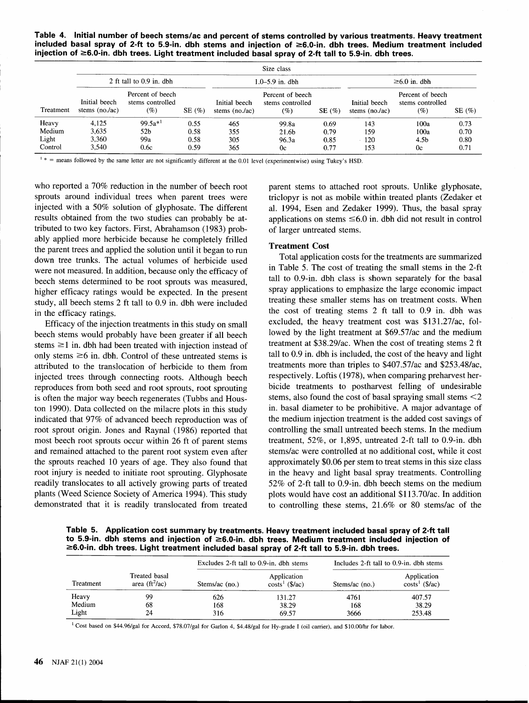**Table 4. Initial number of beech stems/ac and percent of stems controlled by various treatments. Heavy treatment included basal spray of 2-ft to 5.9-in. dbh stems and injection of 26.0-in. dbh trees. Medium treatment included injection of 26.0-in. dbh trees. Light treatment included basal spray of 2-ft tall to 5.9-in. dbh trees.** 

|           | Size class                        |                                             |            |                                  |                                                |           |                                  |                                                |       |  |
|-----------|-----------------------------------|---------------------------------------------|------------|----------------------------------|------------------------------------------------|-----------|----------------------------------|------------------------------------------------|-------|--|
|           | 2 ft tall to $0.9$ in. dbh        |                                             |            | $1.0 - 5.9$ in. dbh              |                                                |           | $\geq 6.0$ in. dbh               |                                                |       |  |
| Treatment | Initial beech<br>stems $(no./ac)$ | Percent of beech<br>stems controlled<br>(%) | SE $(\% )$ | Initial beech<br>stems $(no/ac)$ | Percent of beech<br>stems controlled<br>$(\%)$ | SE $(\%)$ | Initial beech<br>stems $(no/kc)$ | Percent of beech<br>stems controlled<br>$(\%)$ | SE(%) |  |
| Heavy     | 4.125                             | $99.5a^{*1}$                                | 0.55       | 465                              | 99.8a                                          | 0.69      | 143                              | 100a                                           | 0.73  |  |
| Medium    | 3.635                             | 52 <sub>b</sub>                             | 0.58       | 355                              | 21.6b                                          | 0.79      | 159                              | 100a                                           | 0.70  |  |
| Light     | 3.360                             | 99a                                         | 0.58       | 305                              | 96.3a                                          | 0.85      | 120                              | 4.5b                                           | 0.80  |  |
| Control   | 3.540                             | 0.6c                                        | 0.59       | 365                              | 0c                                             | 0.77      | 153                              | 0c                                             | 0.71  |  |

 $1*$  = means followed by the same letter are not significantly different at the 0.01 level (experimentwise) using Tukey's HSD.

who reported a 70% reduction in the number of beech root parent stems to attached root sprouts. Unlike glyphosate, sprouts around individual trees when parent trees were triclopyr is not as mobile within treated plants (Zedaker et injected with a 50% solution of glyphosate. The different al. 1994, Esen and Zedaker 1999). Thus, the basal spray results obtained from the two studies can probably be at- applications on stems  $\leq 6.0$  in. dbh did not result in control tributed to two key factors. First, Abrahamson (1983) prob- of larger untreated stems. ably applied more herbicide because he completely frilled the parent trees and applied the solution until it began to run<br>down tree trunks. The sotual volumes of berkields used application costs for the treatments are summarized down tree trunks. The actual volumes of herbicide used<br>were not measured In addition because only the efficient of the Table 5. The cost of treating the small stems in the 2-ft were not measured. In addition, because only the efficacy of in Table 5. The cost of treating the small stems in the 2-ft beech stems determined to be root sprouts was measured tall to 0.9-in. dbh class is shown separatel beech stems determined to be root sprouts was measured,<br>higher efficeou ratings would be avanced. In the greent spray applications to emphasize the large economic impact higher efficacy ratings would be expected. In the present spray applications to emphasize the large economic impact<br>study all beech stems 2 ft tall to 0.9 in dbb were included treating these smaller stems has on treatment study, all beech stems 2 ft tall to 0.9 in. dbh were included in the efficacy ratings.

Efficacy of the injection treatments in this study on small beech stems would probably have been greater if all beech stems  $\geq 1$  in. dbh had been treated with injection instead of only stems  $\geq 6$  in. dbh. Control of these untreated stems is attributed to the translocation of herbicide to them from injected trees through connecting roots. Although beech reproduces from both seed and root sprouts, root sprouting is often the major way beech regenerates (Tubbs and Houston 1990). Data collected on the milacre plots in this study indicated that 97% of advanced beech reproduction was of root sprout origin. Jones and Raynal (1986) reported that most beech root sprouts occur within 26 ft of parent stems and remained attached to the parent root system even after the sprouts reached 10 years of age. They also found that root injury is needed to initiate root sprouting. Glyphosate readily translocates to all actively growing parts of treated plants (Weed Science Society of America 1994). This study demonstrated that it is readily translocated from treated

the cost of treating stems 2 ft tall to 0.9 in. dbh was excluded, the heavy treatment cost was \$131.27/ac, followed by the light treatment at \$69.57/ac and the medium treatment at \$38.29/ac. When the cost of treating stems 2 ft tall to 0.9 in. dbh is included, the cost of the heavy and light treatments more than triples to \$407.57/ac and \$253.48/ac, respectively. Loftis (1978), when comparing preharvest herbicide treatments to postharvest felling of undesirable stems, also found the cost of basal spraying small stems <2 in. basal diameter to be prohibitive. A major advantage of the medium injection treatment is the added cost savings of controlling the small untreated beech stems. In the medium treatment, 52%, or 1,895, untreated 2-ft tall to 0.9-in. dbh stemslac were controlled at no additional cost, while it cost approximately \$0.06 per stem to treat stems in this size class in the heavy and light basal spray treatments. Controlling 52% of 2-ft tall to 0.9-in. dbh beech stems on the medium plots would have cost an additional \$113.70/ac. In addition to controlling these stems, 21.6% or 80 stemslac of the

**Table 5. Application cost summary by treatments. Heavy treatment included basal spray of 2-ft tall to 5.9-in. dbh stems and injection of 26.0-in. dbh trees. Medium treatment included injection of 26.0-in. dbh trees. Light treatment included basal spray of 2-ft tall to 5.9-in. dbh trees.** 

|           |                                                   | Excludes 2-ft tall to 0.9-in. dbh stems |                                 | Includes 2-ft tall to 0.9-in. dbh stems |                                 |  |
|-----------|---------------------------------------------------|-----------------------------------------|---------------------------------|-----------------------------------------|---------------------------------|--|
| Treatment | Treated basal<br>area ( $\text{ft}^2/\text{ac}$ ) | Stems/ac $(no.)$                        | Application<br>$costs1$ (\$/ac) | Stems/ac (no.)                          | Application<br>$costs1$ (\$/ac) |  |
| Heavy     | 99                                                | 626                                     | 131.27                          | 4761                                    | 407.57                          |  |
| Medium    | 68                                                | 168                                     | 38.29                           | 168                                     | 38.29                           |  |
| Light     | 24                                                | 316                                     | 69.57                           | 3666                                    | 253.48                          |  |

 $^1$  Cost based on \$44.96/gal for Accord, \$78.07/gal for Garlon 4, \$4.48/gal for Hy-grade I (oil carrier), and \$10.00/hr for labor.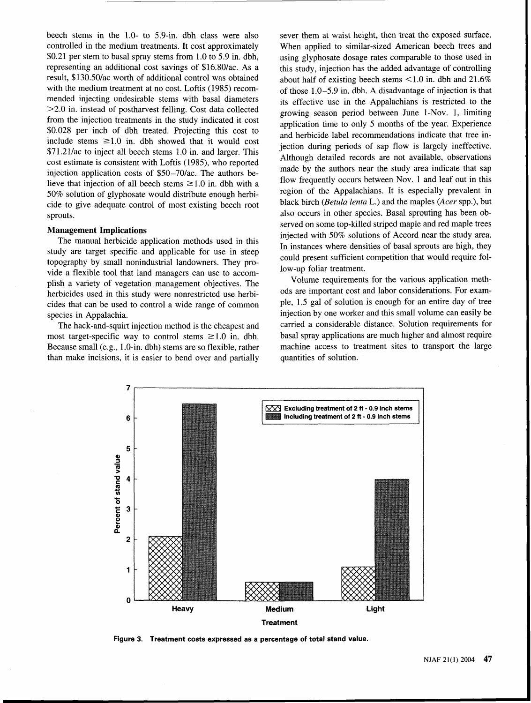beech stems in the 1.0- to 5.9-in. dbh class were also controlled in the medium treatments. It cost approximately \$0.21 per stem to basal spray stems from 1.0 to 5.9 in. dbh, representing an additional cost savings of \$16.80/ac. As a result, \$130.50lac worth of additional control was obtained with the medium treatment at no cost. Loftis (1985) recommended injecting undesirable stems with basal diameters  $>2.0$  in. instead of postharvest felling. Cost data collected from the injection treatments in the study indicated it cost \$0.028 per inch of dbh treated. Projecting this cost to include stems  $\geq 1.0$  in. dbh showed that it would cost \$71.21/ac to inject all beech stems 1.0 in. and larger. This cost estimate is consistent with Loftis (1985), who reported injection application costs of \$50-70/ac. The authors believe that injection of all beech stems  $\geq 1.0$  in. dbh with a 50% solution of glyphosate would distribute enough herbicide to give adequate control of most existing beech root sprouts.

### **Management Implications**

The manual herbicide application methods used in this study are target specific and applicable for use in steep topography by small nonindustrial landowners. They provide a flexible tool that land managers can use to accomplish a variety of vegetation management objectives. The herbicides used in this study were nonrestricted use herbicides that can be used to control a wide range of common ple, 1.5 gal of solution is enough for an entire day of tree species in Appalachia. injection by one worker and this small volume can easily be

most target-specific way to control stems  $\geq 1.0$  in. dbh. basal spray applications are much higher and almost require<br>Because small (e.g., 1.0-in. dbh) stems are so flexible, rather machine access to treatment sites to Because small (e.g.,  $1.0$ -in. dbh) stems are so flexible, rather than make incisions, it is easier to bend over and partially quantities of solution.

sever them at waist height, then treat the exposed surface. When applied to similar-sized American beech trees and using glyphosate dosage rates comparable to those used in this study, injection has the added advantage of controlling about half of existing beech stems  $\leq 1.0$  in. dbh and 21.6% of those 1.0-5.9 in. dbh. A disadvantage of injection is that its effective use in the Appalachians is restricted to the growing season period between June 1-Nov. 1, limiting application time to only 5 months of the year. Experience and herbicide label recommendations indicate that tree injection during periods of sap flow is largely ineffective. Although detailed records are not available, observations made by the authors near the study area indicate that sap flow frequently occurs between Nov. 1 and leaf out in this region of the Appalachians. It is especially prevalent in black birch (Betula lenta L.) and the maples (Acer spp.), but also occurs in other species. Basal sprouting has been observed on some top-killed striped maple and red maple trees injected with 50% solutions of Accord near the study area. In instances where densities of basal sprouts are high, they could present sufficient competition that would require follow-up foliar treatment.

Volume requirements for the various application methods are important cost and labor considerations. For exam-The hack-and-squirt injection method is the cheapest and carried a considerable distance. Solution requirements for



**Figure 3. Treatment costs expressed as a percentage of total stand value.**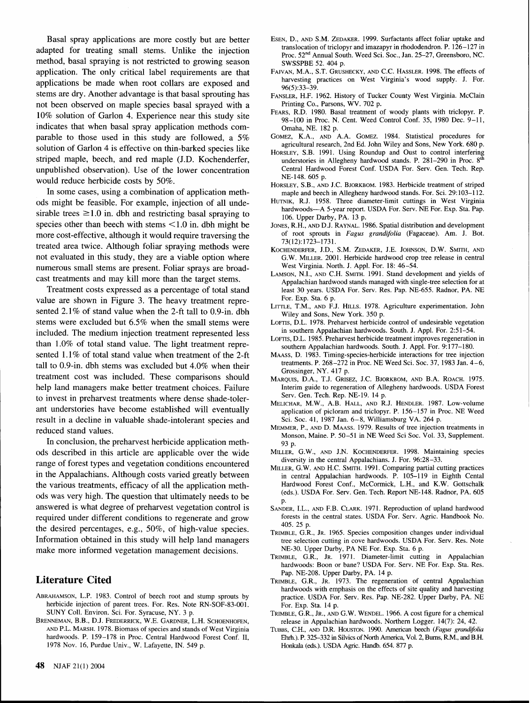Basal spray applications are more costly but are better adapted for treating small stems. Unlike the injection method, basal spraying is not restricted to growing season application. The only critical label requirements are that applications be made when root collars are exposed and stems are dry. Another advantage is that basal sprouting has not been observed on maple species basal sprayed with a 10% solution of Garlon 4. Experience near this study site indicates that when basal spray application methods comparable to those used in this study are followed, a 5% solution of Garlon 4 is effective on thin-barked species like striped maple, beech, and red maple (J.D. Kochenderfer, unpublished observation). Use of the lower concentration would reduce herbicide costs by 50%.

In some cases, using a combination of application methods might be feasible. For example, injection of all undesirable trees  $\geq 1.0$  in. dbh and restricting basal spraying to species other than beech with stems < 1.0 in. dbh might be more cost-effective, although it would require traversing the treated area twice. Although foliar spraying methods were not evaluated in this study, they are a viable option where numerous small stems are present. Foliar sprays are broadcast treatments and may kill more than the target stems.

Treatment costs expressed as a percentage of total stand value are shown in Figure **3.** The heavy treatment represented 2.1% of stand value when the 2-ft tall to 0.9-in. dbh stems were excluded but 6.5% when the small stems were included. The medium injection treatment represented less than 1.0% of total stand value. The light treatment represented 1.1% of total stand value when treatment of the 2-ft tall to 0.9-in. dbh stems was excluded but 4.0% when their treatment cost was included. These comparisons should help land managers make better treatment choices. Failure to invest in preharvest treatments where dense shade-tolerant understories have become established will eventually result in a decline in valuable shade-intolerant species and reduced stand values.

In conclusion, the preharvest herbicide application methods described in this article are applicable over the wide range of forest types and vegetation conditions encountered in the Appalachians. Although costs varied greatly between the various treatments, efficacy of all the application methods was very high. The question that ultimately needs to be answered is what degree of preharvest vegetation control is required under different conditions to regenerate and grow the desired percentages, e.g., 50%, of high-value species. Information obtained in this study will help land managers make more informed vegetation management decisions.

# **Literature Cited**

- ABRAHAMSON, L.P. 1983. Control of beech root and stump sprouts by herbicide injection of parent trees. For. Res. Note RN-SOF-83-001. SUNY Coll. Environ. Sci. For. Syracuse, NY. 3 p.
- BRENNEMAN, B.B., D.J. FREDERRICK, W.E. GARDNER, L.H. SCHOENHOFEN, AND P.L. MARSH. 1978. Biomass of species and stands of West Virginia hardwoods. P. 159-178 in Proc. Central Hardwood Forest Conf. II, 1978 Nov. 16, Purdue Univ., W. Lafayette, IN. 549 p.
- ESEN, D., AND S.M. ZEDAKER. 1999. Surfactants affect foliar uptake and translocation of triclopyr and imazapyr in rhododendron. P. 126-127 in Proc. 52nd Annual South. Weed Sci. Soc., Jan. 25-27, Greensboro, NC. SWSSPBE 52. 404 p.
- FAJVAN, M.A., S.T. GRUSHECKY, AND C.C. HASSLER. 1998. The effects of harvesting practices on West Virginia's wood supply. J. For. 96(5):33-39.
- FANSLER, H.F. 1962. History of Tucker County West Virginia. McClain Printing Co., Parsons, WV. 702 p.
- FEARS, R.D. 1980. Basal treatment of woody plants with triclopyr. P. 98-100 in Proc. N. Cent. Weed Control Conf. 35, 1980 Dec. 9-11, Omaha, NE. 182 p.
- GOMEZ, K.A., AND A.A. GOMEZ. 1984. Statistical procedures for agricultural research, 2nd Ed. John Wiley and Sons, New York. 680 p.
- HORSLEY, S.B. 1991. Using Roundup and Oust to control interfering understories in Allegheny hardwood stands. P.  $281-290$  in Proc.  $8^{th}$ Central Hardwood Forest Conf. USDA For. Serv. Gen. Tech. Rep. NE-148. 605 p.
- HORSLEY, S.B., AND J.C. BJORKBOM. 1983. Herbicide treatment of striped maple and beech in Allegheny hardwood stands. For. Sci. 29:103-112.
- HUTNIK, R.J. 1958. Three diameter-limit cuttings in West Virginia hardwoods-A 5-year report. USDA For. Serv. NE For. Exp. Sta. Pap. 106. Upper Darby, PA. 13 p.
- JONES, R.H., AND D.J. RAYNAL. 1986. Spatial distribution and development of root sprouts in Fagus grandifolia (Fagaceae). Am. J. Bot. 73(12):1723-1731.
- KOCHENDERFER, J.D., S.M. ZEDAKER, J.E. JOHNSON, D.W. SMITH, AND G.W. MILLER. 2001. Herbicide hardwood crop tree release in central West Virginia. North. J. Appl. For. 18: 46-54.
- LAMSON, N.I., AND C.H. SMITH. 1991. Stand development and yields of Appalachian hardwood stands managed with single-tree selection for at least 30 years. USDA For. Serv. Res. Pap. NE-655. Radnor, PA. NE For. Exp. Sta. 6 p.
- LITTLE, T.M., AND F.J. HILLS. 1978. Agriculture experimentation. John Wiley and Sons, New York. 350 p.
- LOFTIS, D.L. 1978. Preharvest herbicide control of undesirable vegetation in southern Appalachian hardwoods. South. J. Appl. For. 2:51-54.
- LOFTIS, D.L. 1985. Preharvest herbicide treatment improves regeneration in southern Appalachian hardwoods. South. J. Appl. For. 9:177-180.
- MAASS, D. 1983. Timing-species-herbicide interactions for tree injection treatments. P. 268-272 in Proc. NE Weed Sci. Soc. 37, 1983 Jan. 4-6, Grossinger, NY. 417 p.
- MARQUIS, D.A., T.J. GRISEZ, J.C. BJORKBOM, AND B.A. ROACH. 1975. Interim guide to regeneration of Allegheny hardwoods. USDA Forest Serv. Gen. Tech. Rep. NE-19. 14 p.
- MELICHAR, M.W., A.B. HALL, AND R.J. HENDLER. 1987. Low-volume application of picloram and triclopyr. P. 156-157 in Proc. NE Weed Sci. Soc. 41, 1987 Jan. 6-8, Williamsburg VA. 264 p.
- MEMMER, P., AND D. MAASS. 1979. Results of tree injection treatments in Monson, Maine. P. 50-51 in NE Weed Sci Soc. Vol. 33, Supplement. 93 p.
- MILLER, G.W., AND J.N. KOCHENDERFER. 1998. Maintaining species diversity in the central Appalachians. J. For. 96:28-33.
- MILLER, G.W. AND H.C. SMITH. 1991. Comparing partial cutting practices in central Appalachian hardwoods. P. 105-119 in Eighth Cental Hardwood Forest Conf., McCormick, L.H., and K.W. Gottschalk (eds.). USDA For. Serv. Gen. Tech. Report NE-148. Radnor, PA. 605
- SANDER, I.L., AND F.B. CLARK. 1971. Reproduction of upland hardwood forests in the central states. USDA For. Serv. Agric. Handbook No. 405. 25 p.
- TRIMBLE, G.R., JR. 1965. Species composition changes under individual tree selection cutting in cove hardwoods. USDA For. Serv. Res. Note NE-30. Upper Darby, PA NE For. Exp. Sta. 6 p.
- TRIMBLE, G.R., JR. 1971. Diameter-limit cutting in Appalachian hardwoods: Boon or bane? USDA For. Serv. NE For. Exp. Sta. Res. Pap. NE-208. Upper Darby, PA. 14 p.
- TRIMBLE, G.R., JR. 1973. The regeneration of central Appalachian hardwoods with emphasis on the effects of site quality and harvesting practice. USDA For. Serv. Res. Pap. NE-282. Upper Darby, PA. NE For. Exp. Sta. 14 p.
- TRIMBLE, G.R., JR., AND G.W. WENDEL. 1966. A cost figure for a chemical release in Appalachian hardwoods. Northern Logger. 14(7): 24, 42.
- TUBBS, C.H., AND D.R. HOUSTON. 1990. American beech (Fagus grandifolia Ehrh.). P. 325-332 in Silvics of North America, Vol. 2, Burns, R.M., and B.H. Honkala (eds.). USDA Agric. Handb. 654. 877 p.